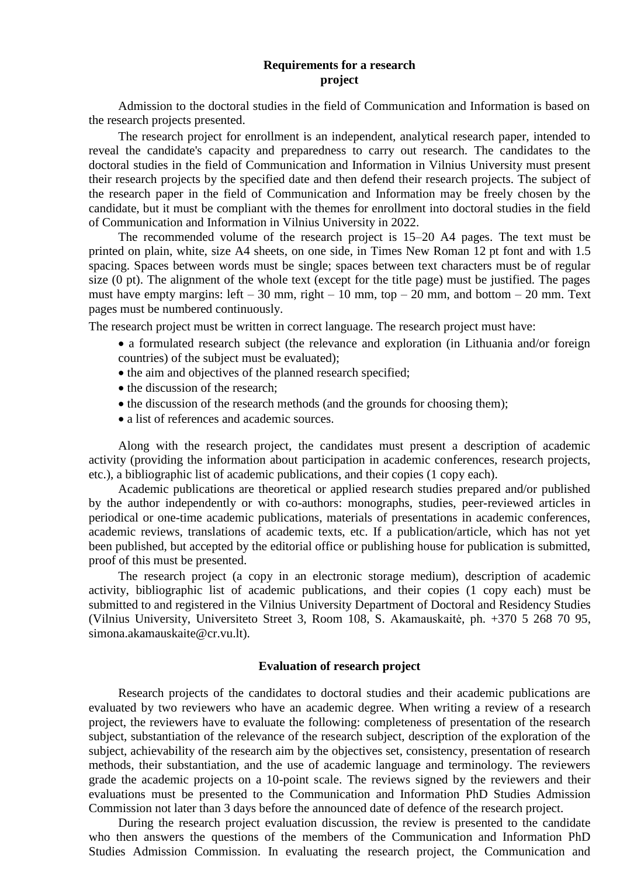## **Requirements for a research project**

Admission to the doctoral studies in the field of Communication and Information is based on the research projects presented.

The research project for enrollment is an independent, analytical research paper, intended to reveal the candidate's capacity and preparedness to carry out research. The candidates to the doctoral studies in the field of Communication and Information in Vilnius University must present their research projects by the specified date and then defend their research projects. The subject of the research paper in the field of Communication and Information may be freely chosen by the candidate, but it must be compliant with the themes for enrollment into doctoral studies in the field of Communication and Information in Vilnius University in 2022.

The recommended volume of the research project is 15–20 A4 pages. The text must be printed on plain, white, size A4 sheets, on one side, in Times New Roman 12 pt font and with 1.5 spacing. Spaces between words must be single; spaces between text characters must be of regular size (0 pt). The alignment of the whole text (except for the title page) must be justified. The pages must have empty margins: left – 30 mm, right – 10 mm, top – 20 mm, and bottom – 20 mm. Text pages must be numbered continuously.

The research project must be written in correct language. The research project must have:

- a formulated research subject (the relevance and exploration (in Lithuania and/or foreign countries) of the subject must be evaluated);
- the aim and objectives of the planned research specified;
- the discussion of the research;
- the discussion of the research methods (and the grounds for choosing them);
- a list of references and academic sources.

Along with the research project, the candidates must present a description of academic activity (providing the information about participation in academic conferences, research projects, etc.), a bibliographic list of academic publications, and their copies (1 copy each).

Academic publications are theoretical or applied research studies prepared and/or published by the author independently or with co-authors: monographs, studies, peer-reviewed articles in periodical or one-time academic publications, materials of presentations in academic conferences, academic reviews, translations of academic texts, etc. If a publication/article, which has not yet been published, but accepted by the editorial office or publishing house for publication is submitted, proof of this must be presented.

The research project (a copy in an electronic storage medium), description of academic activity, bibliographic list of academic publications, and their copies (1 copy each) must be submitted to and registered in the Vilnius University Department of Doctoral and Residency Studies (Vilnius University, Universiteto Street 3, Room 108, S. Akamauskaitė, ph. +370 5 268 70 95, simona.akamauskaite@cr.vu.lt).

## **Evaluation of research project**

Research projects of the candidates to doctoral studies and their academic publications are evaluated by two reviewers who have an academic degree. When writing a review of a research project, the reviewers have to evaluate the following: completeness of presentation of the research subject, substantiation of the relevance of the research subject, description of the exploration of the subject, achievability of the research aim by the objectives set, consistency, presentation of research methods, their substantiation, and the use of academic language and terminology. The reviewers grade the academic projects on a 10-point scale. The reviews signed by the reviewers and their evaluations must be presented to the Communication and Information PhD Studies Admission Commission not later than 3 days before the announced date of defence of the research project.

During the research project evaluation discussion, the review is presented to the candidate who then answers the questions of the members of the Communication and Information PhD Studies Admission Commission. In evaluating the research project, the Communication and